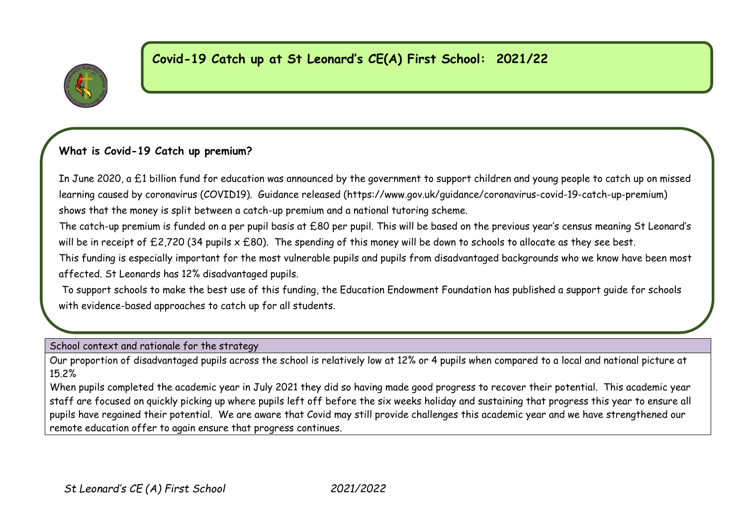# **Covid-19 Catch up at St Leonard's CE(A) First School: 2021/22**



## **What is Covid-19 Catch up premium?**

In June 2020, a £1 billion fund for education was announced by the government to support children and young people to catch up on missed learning caused by coronavirus (COVID19). Guidance released (https://www.gov.uk/guidance/coronavirus-covid-19-catch-up-premium) shows that the money is split between a catch-up premium and a national tutoring scheme.

The catch-up premium is funded on a per pupil basis at £80 per pupil. This will be based on the previous year's census meaning St Leonard's will be in receipt of  $£2,720$  (34 pupils  $\times £80$ ). The spending of this money will be down to schools to allocate as they see best.

This funding is especially important for the most vulnerable pupils and pupils from disadvantaged backgrounds who we know have been most affected. St Leonards has 12% disadvantaged pupils.

To support schools to make the best use of this funding, the Education Endowment Foundation has published a support guide for schools with evidence-based approaches to catch up for all students.

School context and rationale for the strategy

Our proportion of disadvantaged pupils across the school is relatively low at 12% or 4 pupils when compared to a local and national picture at 15.2%

When pupils completed the academic year in July 2021 they did so having made good progress to recover their potential. This academic year staff are focused on quickly picking up where pupils left off before the six weeks holiday and sustaining that progress this year to ensure all pupils have regained their potential. We are aware that Covid may still provide challenges this academic year and we have strengthened our remote education offer to again ensure that progress continues.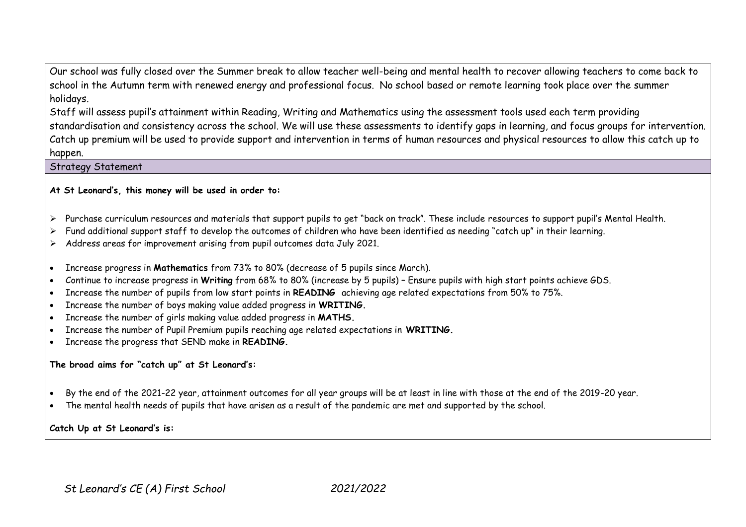Our school was fully closed over the Summer break to allow teacher well-being and mental health to recover allowing teachers to come back to school in the Autumn term with renewed energy and professional focus. No school based or remote learning took place over the summer holidays.

Staff will assess pupil's attainment within Reading, Writing and Mathematics using the assessment tools used each term providing standardisation and consistency across the school. We will use these assessments to identify gaps in learning, and focus groups for intervention. Catch up premium will be used to provide support and intervention in terms of human resources and physical resources to allow this catch up to happen.

Strategy Statement

#### **At St Leonard's, this money will be used in order to:**

- Purchase curriculum resources and materials that support pupils to get "back on track". These include resources to support pupil's Mental Health.
- Fund additional support staff to develop the outcomes of children who have been identified as needing "catch up" in their learning.
- Address areas for improvement arising from pupil outcomes data July 2021.
- Increase progress in **Mathematics** from 73% to 80% (decrease of 5 pupils since March).
- Continue to increase progress in **Writing** from 68% to 80% (increase by 5 pupils) Ensure pupils with high start points achieve GDS.
- Increase the number of pupils from low start points in **READING** achieving age related expectations from 50% to 75%.
- Increase the number of boys making value added progress in **WRITING.**
- Increase the number of girls making value added progress in **MATHS.**
- Increase the number of Pupil Premium pupils reaching age related expectations in **WRITING.**
- Increase the progress that SEND make in **READING.**

**The broad aims for "catch up" at St Leonard's:**

- By the end of the 2021-22 year, attainment outcomes for all year groups will be at least in line with those at the end of the 2019-20 year.
- The mental health needs of pupils that have arisen as a result of the pandemic are met and supported by the school.

**Catch Up at St Leonard's is:**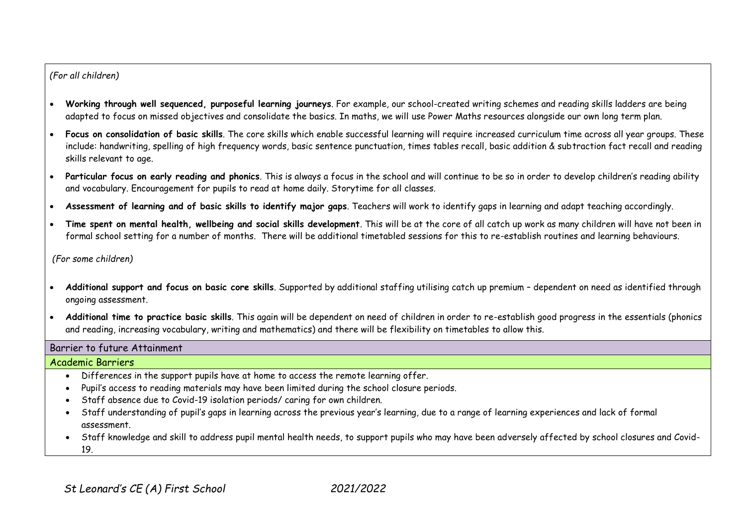#### *(For all children)*

- **Working through well sequenced, purposeful learning journeys**. For example, our school-created writing schemes and reading skills ladders are being adapted to focus on missed objectives and consolidate the basics. In maths, we will use Power Maths resources alongside our own long term plan.
- **Focus on consolidation of basic skills**. The core skills which enable successful learning will require increased curriculum time across all year groups. These include: handwriting, spelling of high frequency words, basic sentence punctuation, times tables recall, basic addition & subtraction fact recall and reading skills relevant to age.
- **Particular focus on early reading and phonics**. This is always a focus in the school and will continue to be so in order to develop children's reading ability and vocabulary. Encouragement for pupils to read at home daily. Storytime for all classes.
- **Assessment of learning and of basic skills to identify major gaps**. Teachers will work to identify gaps in learning and adapt teaching accordingly.
- **Time spent on mental health, wellbeing and social skills development**. This will be at the core of all catch up work as many children will have not been in formal school setting for a number of months. There will be additional timetabled sessions for this to re-establish routines and learning behaviours.

*(For some children)*

- **Additional support and focus on basic core skills**. Supported by additional staffing utilising catch up premium dependent on need as identified through ongoing assessment.
- **Additional time to practice basic skills**. This again will be dependent on need of children in order to re-establish good progress in the essentials (phonics and reading, increasing vocabulary, writing and mathematics) and there will be flexibility on timetables to allow this.

#### Barrier to future Attainment

#### Academic Barriers

- Differences in the support pupils have at home to access the remote learning offer.
- Pupil's access to reading materials may have been limited during the school closure periods.
- Staff absence due to Covid-19 isolation periods/ caring for own children.
- Staff understanding of pupil's gaps in learning across the previous year's learning, due to a range of learning experiences and lack of formal assessment.
- Staff knowledge and skill to address pupil mental health needs, to support pupils who may have been adversely affected by school closures and Covid-19.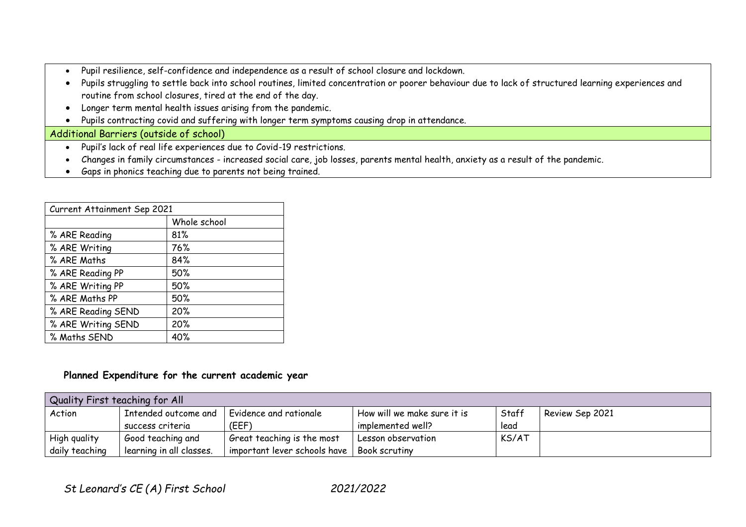- Pupil resilience, self-confidence and independence as a result of school closure and lockdown.
- Pupils struggling to settle back into school routines, limited concentration or poorer behaviour due to lack of structured learning experiences and routine from school closures, tired at the end of the day.
- Longer term mental health issues arising from the pandemic.
- Pupils contracting covid and suffering with longer term symptoms causing drop in attendance.

#### Additional Barriers (outside of school)

- Pupil's lack of real life experiences due to Covid-19 restrictions.
- Changes in family circumstances increased social care, job losses, parents mental health, anxiety as a result of the pandemic.
- Gaps in phonics teaching due to parents not being trained.

| Current Attainment Sep 2021 |              |  |  |  |  |
|-----------------------------|--------------|--|--|--|--|
|                             | Whole school |  |  |  |  |
| % ARE Reading               | 81%          |  |  |  |  |
| % ARE Writing               | 76%          |  |  |  |  |
| % ARE Maths                 | 84%          |  |  |  |  |
| % ARE Reading PP            | 50%          |  |  |  |  |
| % ARE Writing PP            | 50%          |  |  |  |  |
| % ARE Maths PP              | 50%          |  |  |  |  |
| % ARE Reading SEND          | 20%          |  |  |  |  |
| % ARE Writing SEND          | 20%          |  |  |  |  |
| % Maths SEND                | 40%          |  |  |  |  |

### **Planned Expenditure for the current academic year**

| Quality First teaching for All |                          |                              |                             |       |                 |  |  |
|--------------------------------|--------------------------|------------------------------|-----------------------------|-------|-----------------|--|--|
| Action                         | Intended outcome and     | Evidence and rationale       | How will we make sure it is | Staff | Review Sep 2021 |  |  |
|                                | success criteria         | (EEF)                        | implemented well?           | lead  |                 |  |  |
| High quality                   | Good teaching and        | Great teaching is the most   | Lesson observation          | KS/AT |                 |  |  |
| daily teaching                 | learning in all classes. | important lever schools have | Book scrutiny               |       |                 |  |  |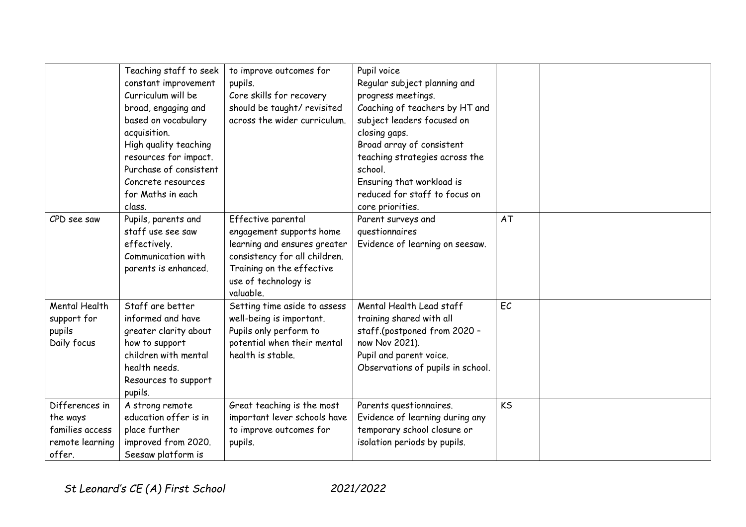|                                                                            | Teaching staff to seek<br>constant improvement<br>Curriculum will be<br>broad, engaging and<br>based on vocabulary<br>acquisition.<br>High quality teaching<br>resources for impact.<br>Purchase of consistent<br>Concrete resources<br>for Maths in each<br>class. | to improve outcomes for<br>pupils.<br>Core skills for recovery<br>should be taught/ revisited<br>across the wider curriculum.                                                     | Pupil voice<br>Regular subject planning and<br>progress meetings.<br>Coaching of teachers by HT and<br>subject leaders focused on<br>closing gaps.<br>Broad array of consistent<br>teaching strategies across the<br>school.<br>Ensuring that workload is<br>reduced for staff to focus on<br>core priorities. |                |  |
|----------------------------------------------------------------------------|---------------------------------------------------------------------------------------------------------------------------------------------------------------------------------------------------------------------------------------------------------------------|-----------------------------------------------------------------------------------------------------------------------------------------------------------------------------------|----------------------------------------------------------------------------------------------------------------------------------------------------------------------------------------------------------------------------------------------------------------------------------------------------------------|----------------|--|
| CPD see saw                                                                | Pupils, parents and<br>staff use see saw<br>effectively.<br>Communication with<br>parents is enhanced.                                                                                                                                                              | Effective parental<br>engagement supports home<br>learning and ensures greater<br>consistency for all children.<br>Training on the effective<br>use of technology is<br>valuable. | Parent surveys and<br>questionnaires<br>Evidence of learning on seesaw.                                                                                                                                                                                                                                        | AT             |  |
| Mental Health<br>support for<br>pupils<br>Daily focus                      | Staff are better<br>informed and have<br>greater clarity about<br>how to support<br>children with mental<br>health needs.<br>Resources to support<br>pupils.                                                                                                        | Setting time aside to assess<br>well-being is important.<br>Pupils only perform to<br>potential when their mental<br>health is stable.                                            | Mental Health Lead staff<br>training shared with all<br>staff.(postponed from 2020 -<br>now Nov 2021).<br>Pupil and parent voice.<br>Observations of pupils in school.                                                                                                                                         | EC             |  |
| Differences in<br>the ways<br>families access<br>remote learning<br>offer. | A strong remote<br>education offer is in<br>place further<br>improved from 2020.<br>Seesaw platform is                                                                                                                                                              | Great teaching is the most<br>important lever schools have<br>to improve outcomes for<br>pupils.                                                                                  | Parents questionnaires.<br>Evidence of learning during any<br>temporary school closure or<br>isolation periods by pupils.                                                                                                                                                                                      | K <sub>S</sub> |  |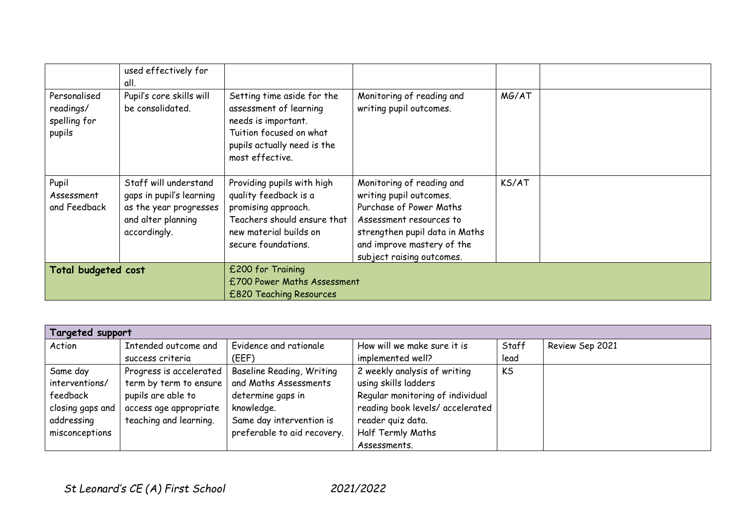|                                                     | used effectively for<br>all.                                                                                      |                                                                                                                                                            |                                                                                                                                                                                                         |       |  |
|-----------------------------------------------------|-------------------------------------------------------------------------------------------------------------------|------------------------------------------------------------------------------------------------------------------------------------------------------------|---------------------------------------------------------------------------------------------------------------------------------------------------------------------------------------------------------|-------|--|
| Personalised<br>readings/<br>spelling for<br>pupils | Pupil's core skills will<br>be consolidated.                                                                      | Setting time aside for the<br>assessment of learning<br>needs is important.<br>Tuition focused on what<br>pupils actually need is the<br>most effective.   | Monitoring of reading and<br>writing pupil outcomes.                                                                                                                                                    | MG/AT |  |
| Pupil<br>Assessment<br>and Feedback                 | Staff will understand<br>gaps in pupil's learning<br>as the year progresses<br>and alter planning<br>accordingly. | Providing pupils with high<br>quality feedback is a<br>promising approach.<br>Teachers should ensure that<br>new material builds on<br>secure foundations. | Monitoring of reading and<br>writing pupil outcomes.<br>Purchase of Power Maths<br>Assessment resources to<br>strengthen pupil data in Maths<br>and improve mastery of the<br>subject raising outcomes. | KS/AT |  |
| <b>Total budgeted cost</b>                          |                                                                                                                   | £200 for Training<br>£700 Power Maths Assessment<br>£820 Teaching Resources                                                                                |                                                                                                                                                                                                         |       |  |

| Targeted support |                         |                             |                                  |                |                 |  |
|------------------|-------------------------|-----------------------------|----------------------------------|----------------|-----------------|--|
| Action           | Intended outcome and    | Evidence and rationale      | How will we make sure it is      | Staff          | Review Sep 2021 |  |
|                  | success criteria        | (EEF)                       | implemented well?                | lead           |                 |  |
| Same day         | Progress is accelerated | Baseline Reading, Writing   | 2 weekly analysis of writing     | K <sub>S</sub> |                 |  |
| interventions/   | term by term to ensure  | and Maths Assessments       | using skills ladders             |                |                 |  |
| feedback         | pupils are able to      | determine gaps in           | Regular monitoring of individual |                |                 |  |
| closing gaps and | access age appropriate  | knowledge.                  | reading book levels/ accelerated |                |                 |  |
| addressing       | teaching and learning.  | Same day intervention is    | reader quiz data.                |                |                 |  |
| misconceptions   |                         | preferable to aid recovery. | Half Termly Maths                |                |                 |  |
|                  |                         |                             | Assessments.                     |                |                 |  |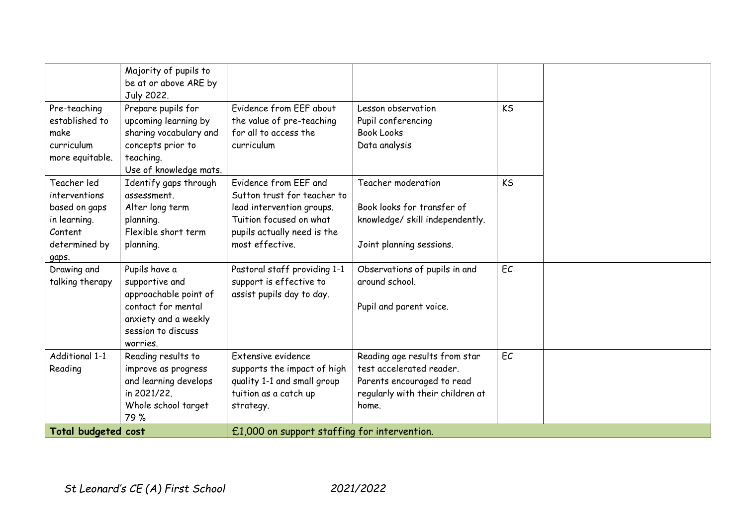| Pre-teaching                                                                                       | Majority of pupils to<br>be at or above ARE by<br>July 2022.<br>Prepare pupils for                                                       | Evidence from EEF about                                                                                                                                        | Lesson observation                                                                                                                   | KS             |
|----------------------------------------------------------------------------------------------------|------------------------------------------------------------------------------------------------------------------------------------------|----------------------------------------------------------------------------------------------------------------------------------------------------------------|--------------------------------------------------------------------------------------------------------------------------------------|----------------|
| established to<br>make<br>curriculum<br>more equitable.                                            | upcoming learning by<br>sharing vocabulary and<br>concepts prior to<br>teaching.<br>Use of knowledge mats.                               | the value of pre-teaching<br>for all to access the<br>curriculum                                                                                               | Pupil conferencing<br><b>Book Looks</b><br>Data analysis                                                                             |                |
| Teacher led<br>interventions<br>based on gaps<br>in learning.<br>Content<br>determined by<br>gaps. | Identify gaps through<br>assessment.<br>Alter long term<br>planning.<br>Flexible short term<br>planning.                                 | Evidence from EEF and<br>Sutton trust for teacher to<br>lead intervention groups.<br>Tuition focused on what<br>pupils actually need is the<br>most effective. | Teacher moderation<br>Book looks for transfer of<br>knowledge/ skill independently.<br>Joint planning sessions.                      | K <sub>S</sub> |
| Drawing and<br>talking therapy                                                                     | Pupils have a<br>supportive and<br>approachable point of<br>contact for mental<br>anxiety and a weekly<br>session to discuss<br>worries. | Pastoral staff providing 1-1<br>support is effective to<br>assist pupils day to day.                                                                           | Observations of pupils in and<br>around school.<br>Pupil and parent voice.                                                           | EC             |
| Additional 1-1<br>Reading                                                                          | Reading results to<br>improve as progress<br>and learning develops<br>in 2021/22.<br>Whole school target<br>79%                          | Extensive evidence<br>supports the impact of high<br>quality 1-1 and small group<br>tuition as a catch up<br>strategy.                                         | Reading age results from star<br>test accelerated reader.<br>Parents encouraged to read<br>regularly with their children at<br>home. | EC             |
| Total budgeted cost                                                                                |                                                                                                                                          | £1,000 on support staffing for intervention.                                                                                                                   |                                                                                                                                      |                |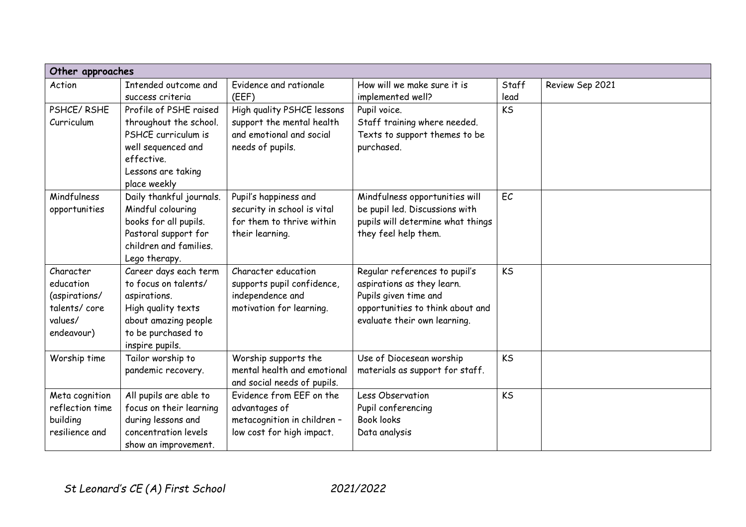| Other approaches |                          |                             |                                   |                |                 |  |
|------------------|--------------------------|-----------------------------|-----------------------------------|----------------|-----------------|--|
| Action           | Intended outcome and     | Evidence and rationale      | How will we make sure it is       | Staff          | Review Sep 2021 |  |
|                  | success criteria         | (EEF)                       | implemented well?                 | lead           |                 |  |
| PSHCE/RSHE       | Profile of PSHE raised   | High quality PSHCE lessons  | Pupil voice.                      | K <sub>S</sub> |                 |  |
| Curriculum       | throughout the school.   | support the mental health   | Staff training where needed.      |                |                 |  |
|                  | PSHCE curriculum is      | and emotional and social    | Texts to support themes to be     |                |                 |  |
|                  | well sequenced and       | needs of pupils.            | purchased.                        |                |                 |  |
|                  | effective.               |                             |                                   |                |                 |  |
|                  | Lessons are taking       |                             |                                   |                |                 |  |
|                  | place weekly             |                             |                                   |                |                 |  |
| Mindfulness      | Daily thankful journals. | Pupil's happiness and       | Mindfulness opportunities will    | EC             |                 |  |
| opportunities    | Mindful colouring        | security in school is vital | be pupil led. Discussions with    |                |                 |  |
|                  | books for all pupils.    | for them to thrive within   | pupils will determine what things |                |                 |  |
|                  | Pastoral support for     | their learning.             | they feel help them.              |                |                 |  |
|                  | children and families.   |                             |                                   |                |                 |  |
|                  | Lego therapy.            |                             |                                   |                |                 |  |
| Character        | Career days each term    | Character education         | Regular references to pupil's     | KS             |                 |  |
| education        | to focus on talents/     | supports pupil confidence,  | aspirations as they learn.        |                |                 |  |
| (aspirations/    | aspirations.             | independence and            | Pupils given time and             |                |                 |  |
| talents/core     | High quality texts       | motivation for learning.    | opportunities to think about and  |                |                 |  |
| values/          | about amazing people     |                             | evaluate their own learning.      |                |                 |  |
| endeavour)       | to be purchased to       |                             |                                   |                |                 |  |
|                  | inspire pupils.          |                             |                                   |                |                 |  |
| Worship time     | Tailor worship to        | Worship supports the        | Use of Diocesean worship          | K <sub>S</sub> |                 |  |
|                  | pandemic recovery.       | mental health and emotional | materials as support for staff.   |                |                 |  |
|                  |                          | and social needs of pupils. |                                   |                |                 |  |
| Meta cognition   | All pupils are able to   | Evidence from EEF on the    | Less Observation                  | KS             |                 |  |
| reflection time  | focus on their learning  | advantages of               | Pupil conferencing                |                |                 |  |
| building         | during lessons and       | metacognition in children - | <b>Book looks</b>                 |                |                 |  |
| resilience and   | concentration levels     | low cost for high impact.   | Data analysis                     |                |                 |  |
|                  | show an improvement.     |                             |                                   |                |                 |  |